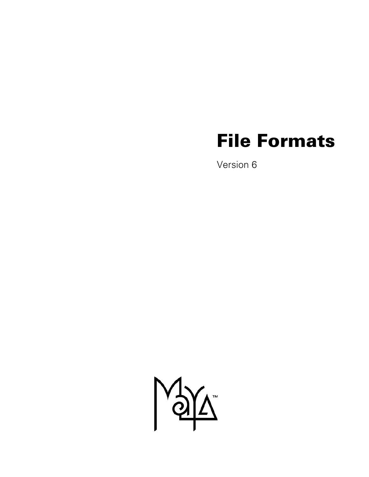# **File Formats**

Version 6

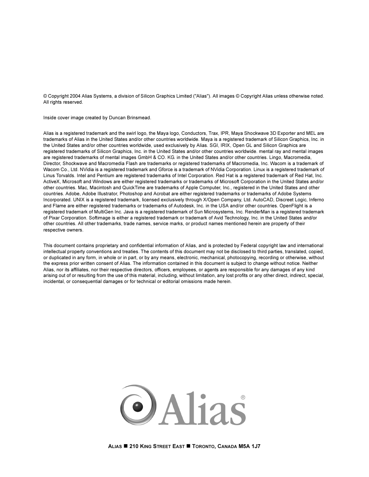© Copyright 2004 Alias Systems, a division of Silicon Graphics Limited ("Alias"). All images © Copyright Alias unless otherwise noted. All rights reserved.

Inside cover image created by Duncan Brinsmead.

Alias is a registered trademark and the swirl logo, the Maya logo, Conductors, Trax, IPR, Maya Shockwave 3D Exporter and MEL are trademarks of Alias in the United States and/or other countries worldwide. Maya is a registered trademark of Silicon Graphics, Inc. in the United States and/or other countries worldwide, used exclusively by Alias. SGI, IRIX, Open GL and Silicon Graphics are registered trademarks of Silicon Graphics, Inc. in the United States and/or other countries worldwide. mental ray and mental images are registered trademarks of mental images GmbH & CO. KG. in the United States and/or other countries. Lingo, Macromedia, Director, Shockwave and Macromedia Flash are trademarks or registered trademarks of Macromedia, Inc. Wacom is a trademark of Wacom Co., Ltd. NVidia is a registered trademark and Gforce is a trademark of NVidia Corporation. Linux is a registered trademark of Linus Torvalds. Intel and Pentium are registered trademarks of Intel Corporation. Red Hat is a registered trademark of Red Hat, Inc. ActiveX, Microsoft and Windows are either registered trademarks or trademarks of Microsoft Corporation in the United States and/or other countries. Mac, Macintosh and QuickTime are trademarks of Apple Computer, Inc., registered in the United States and other countries. Adobe, Adobe Illustrator, Photoshop and Acrobat are either registered trademarks or trademarks of Adobe Systems Incorporated. UNIX is a registered trademark, licensed exclusively through X/Open Company, Ltd. AutoCAD, Discreet Logic, Inferno and Flame are either registered trademarks or trademarks of Autodesk, Inc. in the USA and/or other countries. OpenFlight is a registered trademark of MultiGen Inc. Java is a registered trademark of Sun Microsystems, Inc. RenderMan is a registered trademark of Pixar Corporation. Softimage is either a registered trademark or trademark of Avid Technology, Inc. in the United States and/or other countries. All other trademarks, trade names, service marks, or product names mentioned herein are property of their respective owners.

This document contains proprietary and confidential information of Alias, and is protected by Federal copyright law and international intellectual property conventions and treaties. The contents of this document may not be disclosed to third parties, translated, copied, or duplicated in any form, in whole or in part, or by any means, electronic, mechanical, photocopying, recording or otherwise, without the express prior written consent of Alias. The information contained in this document is subject to change without notice. Neither Alias, nor its affiliates, nor their respective directors, officers, employees, or agents are responsible for any damages of any kind arising out of or resulting from the use of this material, including, without limitation, any lost profits or any other direct, indirect, special, incidental, or consequential damages or for technical or editorial omissions made herein.

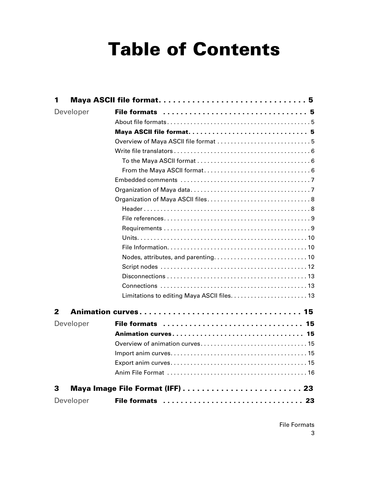# **[Table of Contents](#page-4-0)**

| 1         |                          |
|-----------|--------------------------|
| Developer |                          |
|           |                          |
|           | Maya ASCII file format 5 |
|           |                          |
|           |                          |
|           |                          |
|           |                          |
|           |                          |
|           |                          |
|           |                          |
|           |                          |
|           |                          |
|           |                          |
|           |                          |
|           |                          |
|           |                          |
|           |                          |
|           |                          |
|           |                          |
|           |                          |
| 2         |                          |
| Developer | File formats  15         |
|           | Animation curves 15      |
|           |                          |
|           |                          |
|           |                          |
|           |                          |
| З         |                          |
| Developer | File formats  23         |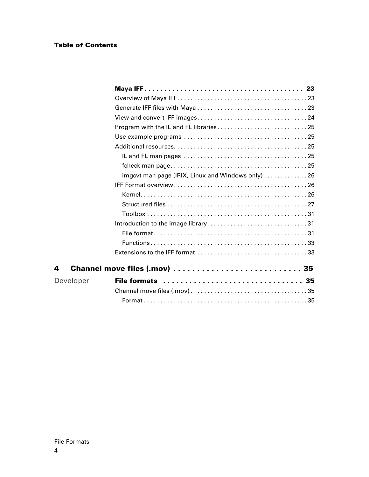#### **Table of Contents**

|           | imgcvt man page (IRIX, Linux and Windows only)  26 |  |
|-----------|----------------------------------------------------|--|
|           |                                                    |  |
|           |                                                    |  |
|           |                                                    |  |
|           |                                                    |  |
|           |                                                    |  |
|           |                                                    |  |
|           |                                                    |  |
|           |                                                    |  |
| 4         | Channel move files (.mov)  35                      |  |
| Developer | File formats  35                                   |  |
|           |                                                    |  |
|           |                                                    |  |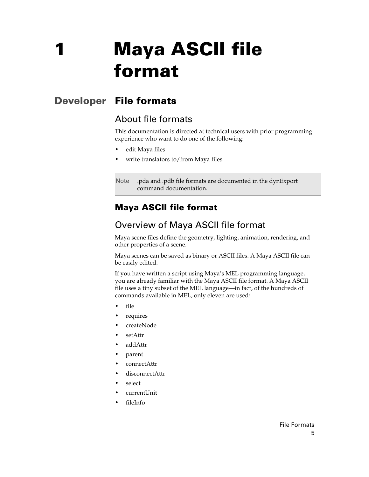# <span id="page-4-1"></span><span id="page-4-0"></span>**Developer File formats**

## <span id="page-4-3"></span><span id="page-4-2"></span>About file formats

This documentation is directed at technical users with prior programming experience who want to do one of the following:

- **•** edit Maya files
- **•** write translators to/from Maya files

Note .pda and .pdb file formats are documented in the dynExport command documentation.

## <span id="page-4-4"></span>**Maya ASCII file format**

## <span id="page-4-5"></span>Overview of Maya ASCII file format

<span id="page-4-6"></span>Maya scene files define the geometry, lighting, animation, rendering, and other properties of a scene.

Maya scenes can be saved as binary or ASCII files. A Maya ASCII file can be easily edited.

If you have written a script using Maya's MEL programming language, you are already familiar with the Maya ASCII file format. A Maya ASCII file uses a tiny subset of the MEL language—in fact, of the hundreds of commands available in MEL, only eleven are used:

- **•** file
- **•** requires
- **•** createNode
- **•** setAttr
- **•** addAttr
- **•** parent
- **•** connectAttr
- **•** disconnectAttr
- **•** select
- **•** currentUnit
- **•** fileInfo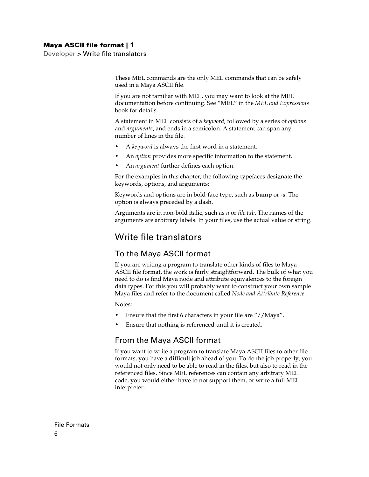Developer > Write file translators

These MEL commands are the only MEL commands that can be safely used in a Maya ASCII file.

If you are not familiar with MEL, you may want to look at the MEL documentation before continuing. See **"MEL"** in the *MEL and Expressions* book for details.

<span id="page-5-6"></span><span id="page-5-5"></span>A statement in MEL consists of a *keyword*, followed by a series of *options* and *arguments*, and ends in a semicolon. A statement can span any number of lines in the file.

- **•** A *keyword* is always the first word in a statement.
- **•** An *option* provides more specific information to the statement.
- **•** An *argument* further defines each option.

For the examples in this chapter, the following typefaces designate the keywords, options, and arguments:

Keywords and options are in bold-face type, such as **bump** or **-s**. The option is always preceded by a dash.

Arguments are in non-bold italic, such as *u* or *file.txb*. The names of the arguments are arbitrary labels. In your files, use the actual value or string.

## <span id="page-5-0"></span>Write file translators

#### <span id="page-5-1"></span>To the Maya ASCII format

<span id="page-5-4"></span>If you are writing a program to translate other kinds of files to Maya ASCII file format, the work is fairly straightforward. The bulk of what you need to do is find Maya node and attribute equivalences to the foreign data types. For this you will probably want to construct your own sample Maya files and refer to the document called *Node and Attribute Reference*.

Notes:

- **•** Ensure that the first 6 characters in your file are "//Maya".
- **•** Ensure that nothing is referenced until it is created.

#### <span id="page-5-2"></span>From the Maya ASCII format

<span id="page-5-3"></span>If you want to write a program to translate Maya ASCII files to other file formats, you have a difficult job ahead of you. To do the job properly, you would not only need to be able to read in the files, but also to read in the referenced files. Since MEL references can contain any arbitrary MEL code, you would either have to not support them, or write a full MEL interpreter.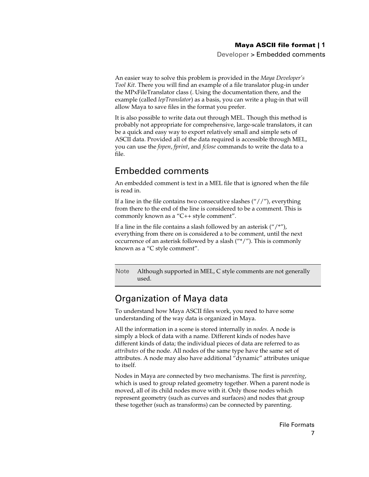Developer > Embedded comments

An easier way to solve this problem is provided in the *Maya Developer's Tool Kit*. There you will find an example of a file translator plug-in under the MPxFileTranslator class (. Using the documentation there, and the example (called *lepTranslator*) as a basis, you can write a plug-in that will allow Maya to save files in the format you prefer.

It is also possible to write data out through MEL. Though this method is probably not appropriate for comprehensive, large-scale translators, it can be a quick and easy way to export relatively small and simple sets of ASCII data. Provided all of the data required is accessible through MEL, you can use the *fopen*, *fprint*, and *fclose* commands to write the data to a file.

## <span id="page-6-0"></span>Embedded comments

<span id="page-6-2"></span>An embedded comment is text in a MEL file that is ignored when the file is read in.

If a line in the file contains two consecutive slashes  $(''//'')$ , everything from there to the end of the line is considered to be a comment. This is commonly known as a "C++ style comment".

If a line in the file contains a slash followed by an asterisk  $($ "/\*"), everything from there on is considered a to be comment, until the next occurrence of an asterisk followed by a slash ("\*/"). This is commonly known as a "C style comment".

Note Although supported in MEL, C style comments are not generally used.

## <span id="page-6-1"></span>Organization of Maya data

<span id="page-6-3"></span>To understand how Maya ASCII files work, you need to have some understanding of the way data is organized in Maya.

<span id="page-6-4"></span>All the information in a scene is stored internally in *nodes*. A node is simply a block of data with a name. Different kinds of nodes have different kinds of data; the individual pieces of data are referred to as *attributes* of the node. All nodes of the same type have the same set of attributes. A node may also have additional "dynamic" attributes unique to itself.

Nodes in Maya are connected by two mechanisms. The first is *parenting*, which is used to group related geometry together. When a parent node is moved, all of its child nodes move with it. Only those nodes which represent geometry (such as curves and surfaces) and nodes that group these together (such as transforms) can be connected by parenting.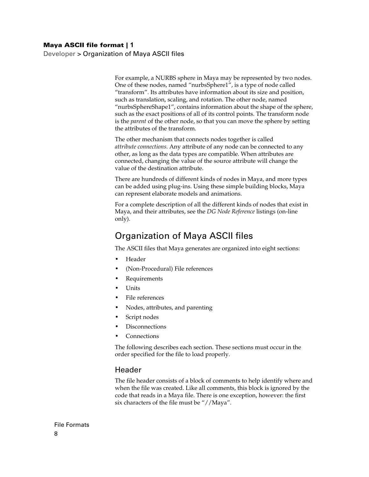Developer > Organization of Maya ASCII files

For example, a NURBS sphere in Maya may be represented by two nodes. One of these nodes, named "nurbsSphere1", is a type of node called "transform". Its attributes have information about its size and position, such as translation, scaling, and rotation. The other node, named "nurbsSphereShape1", contains information about the shape of the sphere, such as the exact positions of all of its control points. The transform node is the *parent* of the other node, so that you can move the sphere by setting the attributes of the transform.

<span id="page-7-2"></span>The other mechanism that connects nodes together is called *attribute connections*. Any attribute of any node can be connected to any other, as long as the data types are compatible. When attributes are connected, changing the value of the source attribute will change the value of the destination attribute.

There are hundreds of different kinds of nodes in Maya, and more types can be added using plug-ins. Using these simple building blocks, Maya can represent elaborate models and animations.

For a complete description of all the different kinds of nodes that exist in Maya, and their attributes, see the *DG Node Reference* listings (on-line only).

## <span id="page-7-0"></span>Organization of Maya ASCII files

<span id="page-7-3"></span>The ASCII files that Maya generates are organized into eight sections:

- **•** [Header](#page-7-1)
- **•** (Non-Procedural) [File references](#page-8-0)
- **•** [Requirements](#page-8-1)
- **•** [Units](#page-9-0)
- **•** [File references](#page-8-0)
- **•** [Nodes, attributes, and parenting](#page-9-2)
- **•** [Script nodes](#page-11-0)
- **•** [Disconnections](#page-12-0)
- **•** [Connections](#page-12-1)

The following describes each section. These sections must occur in the order specified for the file to load properly.

#### <span id="page-7-1"></span>Header

The file header consists of a block of comments to help identify where and when the file was created. Like all comments, this block is ignored by the code that reads in a Maya file. There is one exception, however: the first six characters of the file must be "//Maya".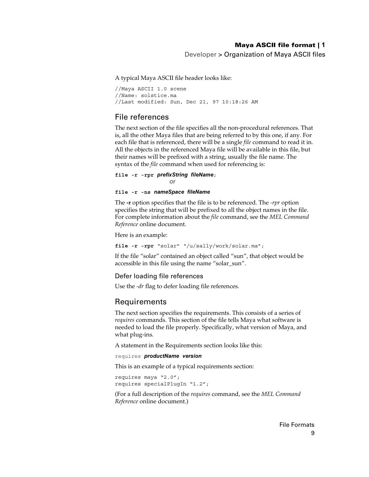Developer > Organization of Maya ASCII files

A typical Maya ASCII file header looks like:

//Maya ASCII 1.0 scene //Name: solstice.ma //Last modified: Sun, Dec 21, 97 10:18:26 AM

#### <span id="page-8-0"></span>File references

<span id="page-8-2"></span>The next section of the file specifies all the non-procedural references. That is, all the other Maya files that are being referred to by this one, if any. For each file that is referenced, there will be a single *file* command to read it in. All the objects in the referenced Maya file will be available in this file, but their names will be prefixed with a string, usually the file name. The syntax of the *file* command when used for referencing is:

#### **file -r -rpr** prefixString fileName; *or*

#### **file -r -ns** nameSpace fileName

The **-r** option specifies that the file is to be referenced. The *-rpr* option specifies the string that will be prefixed to all the object names in the file. For complete information about the *file* command, see the *MEL Command Reference* online document.

Here is an example:

```
file -r -rpr "solar" "/u/sally/work/solar.ma";
```
If the file "solar" contained an object called "sun", that object would be accessible in this file using the name "solar\_sun".

#### Defer loading file references

Use the *-dr* flag to defer loading file references.

#### <span id="page-8-1"></span>Requirements

<span id="page-8-3"></span>The next section specifies the requirements. This consists of a series of *requires* commands. This section of the file tells Maya what software is needed to load the file properly. Specifically, what version of Maya, and what plug-ins.

A statement in the Requirements section looks like this:

requires *productName* version

This is an example of a typical requirements section:

requires maya "2.0"; requires specialPlugIn "1.2";

(For a full description of the *requires* command, see the *MEL Command Reference* online document.)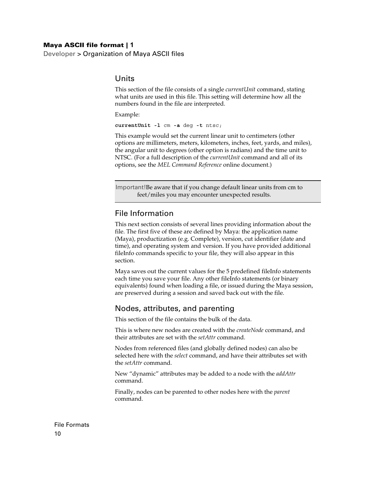Developer > Organization of Maya ASCII files

#### <span id="page-9-4"></span><span id="page-9-0"></span>Units

This section of the file consists of a single *currentUnit* command, stating what units are used in this file. This setting will determine how all the numbers found in the file are interpreted.

Example:

**currentUnit -l** cm **-a** deg **-t** ntsc;

This example would set the current linear unit to centimeters (other options are millimeters, meters, kilometers, inches, feet, yards, and miles), the angular unit to degrees (other option is radians) and the time unit to NTSC. (For a full description of the *currentUnit* command and all of its options, see the *MEL Command Reference* online document.)

Important!Be aware that if you change default linear units from cm to feet/miles you may encounter unexpected results.

#### <span id="page-9-1"></span>File Information

This next section consists of several lines providing information about the file. The first five of these are defined by Maya: the application name (Maya), productization (e.g. Complete), version, cut identifier (date and time), and operating system and version. If you have provided additional fileInfo commands specific to your file, they will also appear in this section.

Maya saves out the current values for the 5 predefined fileInfo statements each time you save your file. Any other fileInfo statements (or binary equivalents) found when loading a file, or issued during the Maya session, are preserved during a session and saved back out with the file.

#### <span id="page-9-2"></span>Nodes, attributes, and parenting

<span id="page-9-3"></span>This section of the file contains the bulk of the data.

This is where new nodes are created with the *createNode* command, and their attributes are set with the *setAttr* command.

Nodes from referenced files (and globally defined nodes) can also be selected here with the *select* command, and have their attributes set with the *setAttr* command.

New "dynamic" attributes may be added to a node with the *addAttr* command.

Finally, nodes can be parented to other nodes here with the *parent* command.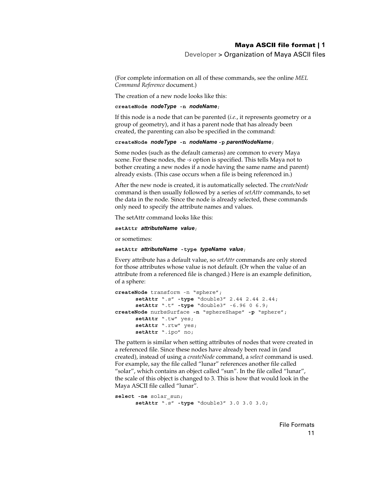Developer > Organization of Maya ASCII files

(For complete information on all of these commands, see the online *MEL Command Reference* document.)

The creation of a new node looks like this:

#### **createNode** nodeType **-n** nodeName;

If this node is a node that can be parented (*i.e.*, it represents geometry or a group of geometry), and it has a parent node that has already been created, the parenting can also be specified in the command:

**createNode** nodeType **-n** nodeName **-p** parentNodeName;

Some nodes (such as the default cameras) are common to every Maya scene. For these nodes, the *-s* option is specified. This tells Maya not to bother creating a new nodes if a node having the same name and parent) already exists. (This case occurs when a file is being referenced in.)

After the new node is created, it is automatically selected. The *createNode* command is then usually followed by a series of *setAttr* commands, to set the data in the node. Since the node is already selected, these commands only need to specify the attribute names and values.

The setAttr command looks like this:

```
setAttr attributeName value;
```
or sometimes:

**setAttr** attributeName **-type** typeName value;

<span id="page-10-1"></span>Every attribute has a default value, so *setAttr* commands are only stored for those attributes whose value is not default. (Or when the value of an attribute from a referenced file is changed.) Here is an example definition, of a sphere:

```
createNode transform -n "sphere";
      setAttr ".s" -type "double3" 2.44 2.44 2.44;
      setAttr ".t" -type "double3" -6.96 0 6.9;
createNode nurbsSurface -n "sphereShape" -p "sphere";
      setAttr ".tw" yes;
      setAttr ".rtw" yes;
      setAttr ".ipo" no;
```
<span id="page-10-0"></span>The pattern is similar when setting attributes of nodes that were created in a referenced file. Since these nodes have already been read in (and created), instead of using a *createNode* command, a *select* command is used. For example, say the file called "lunar" references another file called "solar", which contains an object called "sun". In the file called "lunar", the scale of this object is changed to 3. This is how that would look in the Maya ASCII file called "lunar".

```
select -ne solar_sun;
      setAttr ".s" -type "double3" 3.0 3.0 3.0;
```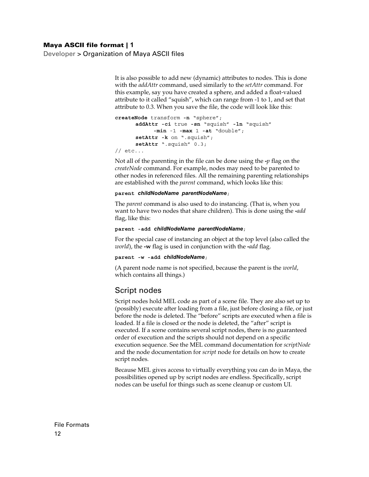Developer > Organization of Maya ASCII files

<span id="page-11-1"></span>It is also possible to add new (dynamic) attributes to nodes. This is done with the *addAttr* command, used similarly to the *setAttr* command. For this example, say you have created a sphere, and added a float-valued attribute to it called "squish", which can range from -1 to 1, and set that attribute to 0.3. When you save the file, the code will look like this:

```
createNode transform -n "sphere";
      addAttr -ci true -sn "squish" -ln "squish"
            -min -1 -max 1 -at "double";
      setAttr -k on ".squish";
      setAttr ".squish" 0.3;
// etc...
```
Not all of the parenting in the file can be done using the **-***p* flag on the *createNode* command. For example, nodes may need to be parented to other nodes in referenced files. All the remaining parenting relationships are established with the *parent* command, which looks like this:

#### <span id="page-11-2"></span>**parent** childNodeName parentNodeName;

The *parent* command is also used to do instancing. (That is, when you want to have two nodes that share children). This is done using the **-***add* flag, like this:

#### **parent -add** childNodeName parentNodeName;

For the special case of instancing an object at the top level (also called the *world*), the **-w** flag is used in conjunction with the **-***add* flag.

#### **parent -w -add** childNodeName;

(A parent node name is not specified, because the parent is the *world*, which contains all things.)

#### <span id="page-11-0"></span>Script nodes

Script nodes hold MEL code as part of a scene file. They are also set up to (possibly) execute after loading from a file, just before closing a file, or just before the node is deleted. The "before" scripts are executed when a file is loaded. If a file is closed or the node is deleted, the "after" script is executed. If a scene contains several script nodes, there is no guaranteed order of execution and the scripts should not depend on a specific execution sequence. See the MEL command documentation for *scriptNode* and the node documentation for *script* node for details on how to create script nodes.

Because MEL gives access to virtually everything you can do in Maya, the possibilities opened up by script nodes are endless. Specifically, script nodes can be useful for things such as scene cleanup or custom UI.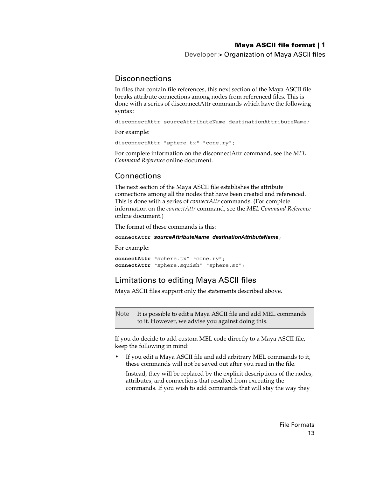Developer > Organization of Maya ASCII files

#### <span id="page-12-0"></span>**Disconnections**

In files that contain file references, this next section of the Maya ASCII file breaks attribute connections among nodes from referenced files. This is done with a series of disconnectAttr commands which have the following syntax:

disconnectAttr sourceAttributeName destinationAttributeName;

For example:

disconnectAttr "sphere.tx" "cone.ry";

For complete information on the disconnectAttr command, see the *MEL Command Reference* online document.

### <span id="page-12-1"></span>Connections

<span id="page-12-3"></span>The next section of the Maya ASCII file establishes the attribute connections among all the nodes that have been created and referenced. This is done with a series of *connectAttr* commands. (For complete information on the *connectAttr* command, see the *MEL Command Reference* online document.)

The format of these commands is this:

**connectAttr** sourceAttributeName destinationAttributeName;

For example:

**connectAttr** "sphere.tx" "cone.ry"; **connectAttr** "sphere.squish" "sphere.sz";

#### <span id="page-12-2"></span>Limitations to editing Maya ASCII files

Maya ASCII files support only the statements described above.

<span id="page-12-4"></span>Note It is possible to edit a Maya ASCII file and add MEL commands to it. However, we advise you against doing this.

If you do decide to add custom MEL code directly to a Maya ASCII file, keep the following in mind:

**•** If you edit a Maya ASCII file and add arbitrary MEL commands to it, these commands will not be saved out after you read in the file.

Instead, they will be replaced by the explicit descriptions of the nodes, attributes, and connections that resulted from executing the commands. If you wish to add commands that will stay the way they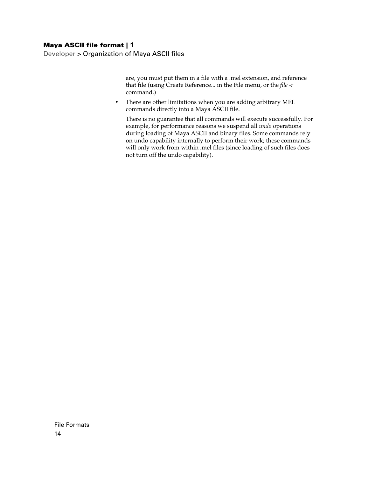Developer > Organization of Maya ASCII files

are, you must put them in a file with a .mel extension, and reference that file (using Create Reference... in the File menu, or the *file -r* command.)

**•** There are other limitations when you are adding arbitrary MEL commands directly into a Maya ASCII file.

There is no guarantee that all commands will execute successfully. For example, for performance reasons we suspend all *undo* operations during loading of Maya ASCII and binary files. Some commands rely on undo capability internally to perform their work; these commands will only work from within .mel files (since loading of such files does not turn off the undo capability).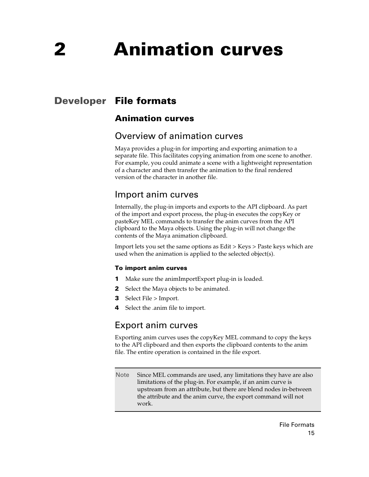# <span id="page-14-1"></span><span id="page-14-0"></span>**Developer File formats**

## <span id="page-14-3"></span><span id="page-14-2"></span>**Animation curves**

## <span id="page-14-4"></span>Overview of animation curves

Maya provides a plug-in for importing and exporting animation to a separate file. This facilitates copying animation from one scene to another. For example, you could animate a scene with a lightweight representation of a character and then transfer the animation to the final rendered version of the character in another file.

## <span id="page-14-5"></span>Import anim curves

Internally, the plug-in imports and exports to the API clipboard. As part of the import and export process, the plug-in executes the copyKey or pasteKey MEL commands to transfer the anim curves from the API clipboard to the Maya objects. Using the plug-in will not change the contents of the Maya animation clipboard.

Import lets you set the same options as Edit > Keys > Paste keys which are used when the animation is applied to the selected object(s).

#### **To import anim curves**

- **1** Make sure the animImportExport plug-in is loaded.
- **2** Select the Maya objects to be animated.
- **3** Select File > Import.
- **4** Select the .anim file to import.

## <span id="page-14-6"></span>Export anim curves

Exporting anim curves uses the copyKey MEL command to copy the keys to the API clipboard and then exports the clipboard contents to the anim file. The entire operation is contained in the file export.

Note Since MEL commands are used, any limitations they have are also limitations of the plug-in. For example, if an anim curve is upstream from an attribute, but there are blend nodes in-between the attribute and the anim curve, the export command will not work.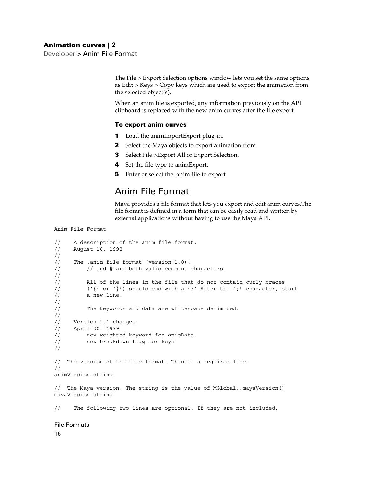Developer > Anim File Format

The File > Export Selection options window lets you set the same options as Edit > Keys > Copy keys which are used to export the animation from the selected object(s).

When an anim file is exported, any information previously on the API clipboard is replaced with the new anim curves after the file export.

#### **To export anim curves**

- **1** Load the animImportExport plug-in.
- **2** Select the Maya objects to export animation from.
- **3** Select File >Export All or Export Selection.
- **4** Set the file type to animExport.
- **5** Enter or select the .anim file to export.

### <span id="page-15-0"></span>Anim File Format

Maya provides a file format that lets you export and edit anim curves.The file format is defined in a form that can be easily read and written by external applications without having to use the Maya API.

Anim File Format

```
// A description of the anim file format.
// August 16, 1998
// 
// The .anim file format (version 1.0):
// and # are both valid comment characters.
//
// All of the lines in the file that do not contain curly braces
// ('{' or '})') should end with a ';' After the ';' character, start
// a new line.
//
// The keywords and data are whitespace delimited. 
//
// Version 1.1 changes:
// April 20, 1999
// new weighted keyword for animData
// new breakdown flag for keys
//
// The version of the file format. This is a required line.
//
animVersion string
// The Maya version. The string is the value of MGlobal::mayaVersion()
mayaVersion string
```
// The following two lines are optional. If they are not included,

#### File Formats

16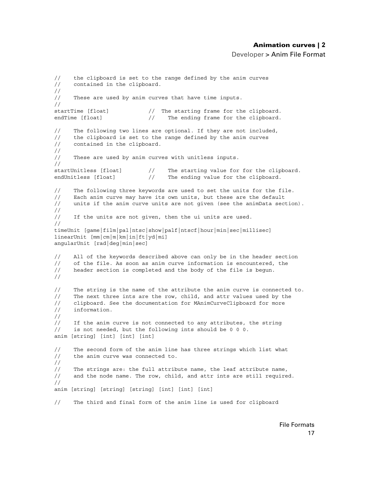Developer > Anim File Format

```
// the clipboard is set to the range defined by the anim curves
// contained in the clipboard.
//
// These are used by anim curves that have time inputs.
//
startTime [float] \frac{1}{2} The starting frame for the clipboard.
endTime [float] \frac{1}{2} The ending frame for the clipboard.
// The following two lines are optional. If they are not included,
// the clipboard is set to the range defined by the anim curves
// contained in the clipboard.
//
// These are used by anim curves with unitless inputs.
//
startUnitless [float] // The starting value for for the clipboard.
endUnitless [float] // The ending value for the clipboard.
// The following three keywords are used to set the units for the file.
// Each anim curve may have its own units, but these are the default 
// units if the anim curve units are not given (see the animData section).
//
// If the units are not given, then the ui units are used.
//
timeUnit [game|film|pal|ntsc|show|palf|ntscf|hour|min|sec|millisec]
linearUnit [mm|cm|m|km|in|ft|yd|mi]
angularUnit [rad|deg|min|sec]
// All of the keywords described above can only be in the header section
// of the file. As soon as anim curve information is encountered, the // header section is completed and the body of the file is begun.
      header section is completed and the body of the file is begun.
//
// The string is the name of the attribute the anim curve is connected to.
// The next three ints are the row, child, and attr values used by the
// clipboard. See the documentation for MAnimCurveClipboard for more
// information.
// 
// If the anim curve is not connected to any attributes, the string
// is not needed, but the following ints should be 0 0 0. 
anim [string] [int] [int] [int] 
// The second form of the anim line has three strings which list what
// the anim curve was connected to.
//
// The strings are: the full attribute name, the leaf attribute name,
// and the node name. The row, child, and attr ints are still required.
//
anim [string] [string] [string] [int] [int] [int]
// The third and final form of the anim line is used for clipboard
```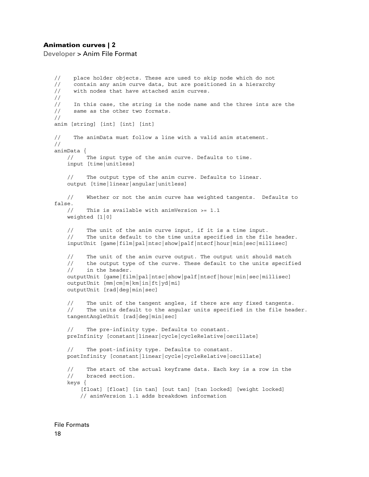Developer > Anim File Format

// place holder objects. These are used to skip node which do not // contain any anim curve data, but are positioned in a hierarchy // with nodes that have attached anim curves. // // In this case, the string is the node name and the three ints are the // same as the other two formats. // anim [string] [int] [int] [int] // The animData must follow a line with a valid anim statement. // animData { // The input type of the anim curve. Defaults to time. input [time|unitless] // The output type of the anim curve. Defaults to linear. output [time|linear|angular|unitless] // Whether or not the anim curve has weighted tangents. Defaults to false. // This is available with animVersion >= 1.1 weighted [1|0] // The unit of the anim curve input, if it is a time input. // The units default to the time units specified in the file header. inputUnit [game|film|pal|ntsc|show|palf|ntscf|hour|min|sec|millisec] // The unit of the anim curve output. The output unit should match // the output type of the curve. These default to the units specified // in the header. outputUnit [game|film|pal|ntsc|show|palf|ntscf|hour|min|sec|millisec] outputUnit [mm|cm|m|km|in|ft|yd|mi] outputUnit [rad|deg|min|sec] // The unit of the tangent angles, if there are any fixed tangents. // The units default to the angular units specified in the file header. tangentAngleUnit [rad|deg|min|sec] // The pre-infinity type. Defaults to constant. preInfinity [constant|linear|cycle|cycleRelative|oscillate] // The post-infinity type. Defaults to constant. postInfinity [constant|linear|cycle|cycleRelative|oscillate] // The start of the actual keyframe data. Each key is a row in the // braced section. keys { [float] [float] [in tan] [out tan] [tan locked] [weight locked] // animVersion 1.1 adds breakdown information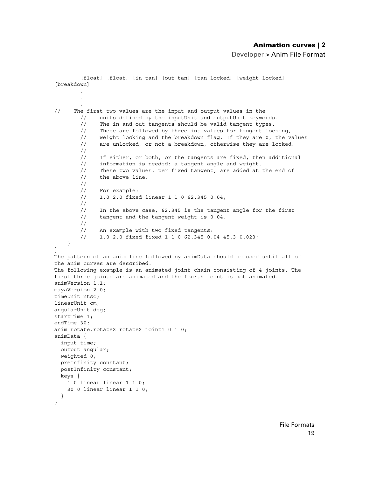Developer > Anim File Format

```
 [float] [float] [in tan] [out tan] [tan locked] [weight locked] 
[breakdown]
 .
 .
 .
// The first two values are the input and output values in the
        // units defined by the inputUnit and outputUnit keywords.
         // The in and out tangents should be valid tangent types.
         // These are followed by three int values for tangent locking,
         // weight locking and the breakdown flag. If they are 0, the values
         // are unlocked, or not a breakdown, otherwise they are locked.
         //
         // If either, or both, or the tangents are fixed, then additional 
         // information is needed: a tangent angle and weight.
         // These two values, per fixed tangent, are added at the end of 
         // the above line.
         //
         // For example:
         // 1.0 2.0 fixed linear 1 1 0 62.345 0.04;
         // 
         // In the above case, 62.345 is the tangent angle for the first 
         // tangent and the tangent weight is 0.04.
         //
        // An example with two fixed tangents:
         // 1.0 2.0 fixed fixed 1 1 0 62.345 0.04 45.3 0.023;
     }
}
The pattern of an anim line followed by animData should be used until all of 
the anim curves are described.
The following example is an animated joint chain consisting of 4 joints. The 
first three joints are animated and the fourth joint is not animated.
animVersion 1.1;
mayaVersion 2.0;
timeUnit ntsc;
linearUnit cm;
angularUnit deg;
startTime 1;
endTime 30;
anim rotate.rotateX rotateX joint1 0 1 0;
animData {
  input time;
  output angular;
   weighted 0;
  preInfinity constant;
  postInfinity constant;
  keys {
    1 0 linear linear 1 1 0;
     30 0 linear linear 1 1 0;
   }
}
```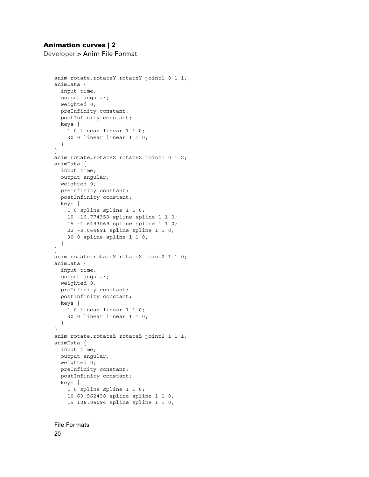Developer > Anim File Format

```
anim rotate.rotateY rotateY joint1 0 1 1;
animData {
  input time;
  output angular;
  weighted 0;
  preInfinity constant;
  postInfinity constant;
  keys {
    1 0 linear linear 1 1 0;
    30 0 linear linear 1 1 0;
   }
}
anim rotate.rotateZ rotateZ joint1 0 1 2;
animData {
  input time;
  output angular;
  weighted 0;
  preInfinity constant;
  postInfinity constant;
  keys {
     1 0 spline spline 1 1 0;
    10 -16.774359 spline spline 1 1 0;
     15 -1.6493069 spline spline 1 1 0;
     22 -3.064691 spline spline 1 1 0;
     30 0 spline spline 1 1 0;
  }
}
anim rotate.rotateX rotateX joint2 1 1 0;
animData {
  input time;
  output angular;
  weighted 0;
  preInfinity constant;
  postInfinity constant;
  keys {
   1 0 linear linear 1 1 0;
    30 0 linear linear 1 1 0;
   }
}
anim rotate.rotateZ rotateZ joint2 1 1 1;
animData {
  input time;
  output angular;
  weighted 0;
  preInfinity constant;
  postInfinity constant;
  keys {
    1 0 spline spline 1 1 0;
    10 60.962438 spline spline 1 1 0;
     15 106.06094 spline spline 1 1 0;
```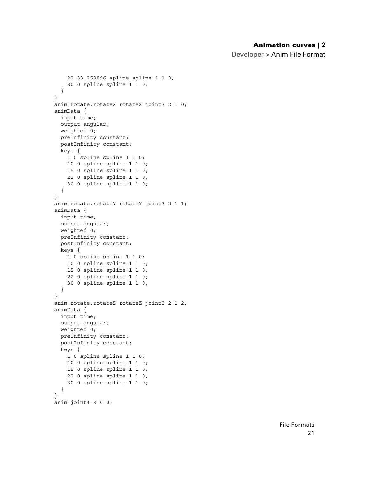Developer > Anim File Format

```
 22 33.259896 spline spline 1 1 0;
     30 0 spline spline 1 1 0;
  }
}
anim rotate.rotateX rotateX joint3 2 1 0;
animData {
  input time;
  output angular;
  weighted 0;
  preInfinity constant;
  postInfinity constant;
  keys {
   1 0 spline spline 1 1 0;
    10 0 spline spline 1 1 0;
    15 0 spline spline 1 1 0;
    22 0 spline spline 1 1 0;
     30 0 spline spline 1 1 0;
  }
}
anim rotate.rotateY rotateY joint3 2 1 1;
animData {
  input time;
  output angular;
  weighted 0;
  preInfinity constant;
  postInfinity constant;
  keys {
    1 0 spline spline 1 1 0;
    10 0 spline spline 1 1 0;
    15 0 spline spline 1 1 0;
    22 0 spline spline 1 1 0;
     30 0 spline spline 1 1 0;
   }
}
anim rotate.rotateZ rotateZ joint3 2 1 2;
animData {
  input time;
  output angular;
  weighted 0;
  preInfinity constant;
  postInfinity constant;
  keys {
     1 0 spline spline 1 1 0;
     10 0 spline spline 1 1 0;
     15 0 spline spline 1 1 0;
     22 0 spline spline 1 1 0;
     30 0 spline spline 1 1 0;
  }
}
anim joint4 3 0 0;
```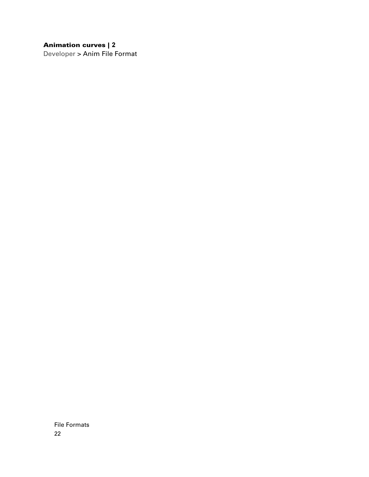Developer > Anim File Format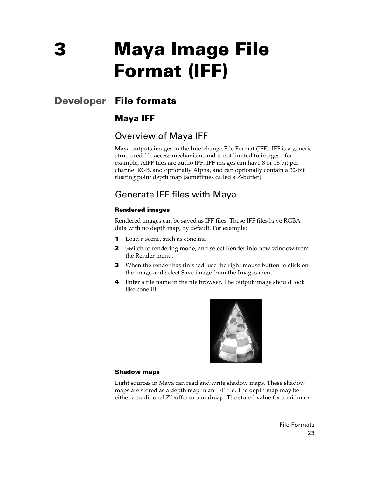# <span id="page-22-1"></span><span id="page-22-0"></span>**Developer File formats**

## <span id="page-22-3"></span><span id="page-22-2"></span>**Maya IFF**

## <span id="page-22-4"></span>Overview of Maya IFF

<span id="page-22-10"></span>Maya outputs images in the Interchange File Format (IFF). IFF is a generic structured file access mechanism, and is not limited to images - for example, AIFF files are audio IFF. IFF images can have 8 or 16 bit per channel RGB, and optionally Alpha, and can optionally contain a 32-bit floating point depth map (sometimes called a Z-buffer).

## <span id="page-22-5"></span>Generate IFF files with Maya

#### **Rendered images**

<span id="page-22-9"></span>Rendered images can be saved as IFF files. These IFF files have RGBA data with no depth map, by default. For example:

- **1** Load a scene, such as cone.ma
- **2** Switch to rendering mode, and select Render into new window from the Render menu.
- **3** When the render has finished, use the right mouse button to click on the image and select Save image from the Images menu.
- **4** Enter a file name in the file browser. The output image should look like cone.iff:

<span id="page-22-7"></span><span id="page-22-6"></span>

#### **Shadow maps**

<span id="page-22-8"></span>Light sources in Maya can read and write shadow maps. These shadow maps are stored as a depth map in an IFF file. The depth map may be either a traditional Z buffer or a midmap. The stored value for a midmap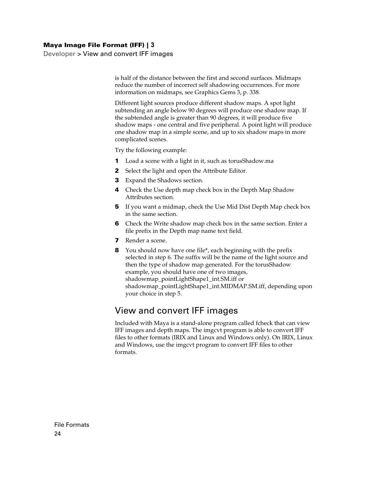Developer > View and convert IFF images

is half of the distance between the first and second surfaces. Midmaps reduce the number of incorrect self shadowing occurrences. For more information on midmaps, see Graphics Gems 3, p. 338.

Different light sources produce different shadow maps. A spot light subtending an angle below 90 degrees will produce one shadow map. If the subtended angle is greater than 90 degrees, it will produce five shadow maps - one central and five peripheral. A point light will produce one shadow map in a simple scene, and up to six shadow maps in more complicated scenes.

Try the following example:

- **1** Load a scene with a light in it, such as torusShadow.ma
- **2** Select the light and open the Attribute Editor.
- **3** Expand the Shadows section.
- **4** Check the Use depth map check box in the Depth Map Shadow Attributes section.
- **5** If you want a midmap, check the Use Mid Dist Depth Map check box in the same section.
- **6** Check the Write shadow map check box in the same section. Enter a file prefix in the Depth map name text field.
- **7** Render a scene.
- **8** You should now have one file\*, each beginning with the prefix selected in step 6. The suffix will be the name of the light source and then the type of shadow map generated. For the torusShadow example, you should have one of two images, shadowmap\_pointLightShape1\_int.SM.iff or shadowmap\_pointLightShape1\_int.MIDMAP.SM.iff, depending upon your choice in step 5.

## <span id="page-23-0"></span>View and convert IFF images

<span id="page-23-2"></span><span id="page-23-1"></span>Included with Maya is a stand-alone program called fcheck that can view IFF images and depth maps. The imgcvt program is able to convert IFF files to other formats (IRIX and Linux and Windows only). On IRIX, Linux and Windows, use the imgcvt program to convert IFF files to other formats.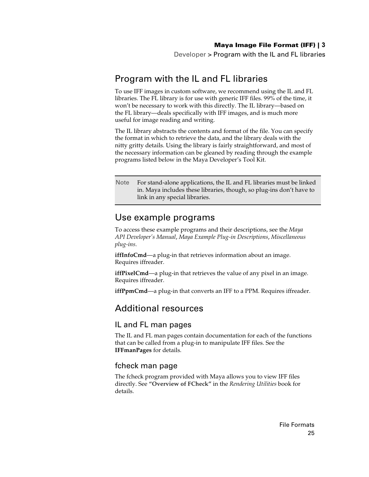Developer > Program with the IL and FL libraries

## <span id="page-24-0"></span>Program with the IL and FL libraries

<span id="page-24-6"></span>To use IFF images in custom software, we recommend using the IL and FL libraries. The FL library is for use with generic IFF files. 99% of the time, it won't be necessary to work with this directly. The IL library—based on the FL library—deals specifically with IFF images, and is much more useful for image reading and writing.

The IL library abstracts the contents and format of the file. You can specify the format in which to retrieve the data, and the library deals with the nitty gritty details. Using the library is fairly straightforward, and most of the necessary information can be gleaned by reading through the example programs listed below in the Maya Developer's Tool Kit.

Note For stand-alone applications, the IL and FL libraries must be linked in. Maya includes these libraries, though, so plug-ins don't have to link in any special libraries.

## <span id="page-24-5"></span><span id="page-24-1"></span>Use example programs

To access these example programs and their descriptions, see the *Maya API Developer's Manual*, *Maya Example Plug-in Descriptions*, *Miscellaneous plug-ins*.

**iffInfoCmd**—a plug-in that retrieves information about an image. Requires iffreader.

**iffPixelCmd**—a plug-in that retrieves the value of any pixel in an image. Requires iffreader.

**iffPpmCmd**—a plug-in that converts an IFF to a PPM. Requires iffreader.

## <span id="page-24-2"></span>Additional resources

#### <span id="page-24-3"></span>IL and FL man pages

The IL and FL man pages contain documentation for each of the functions that can be called from a plug-in to manipulate IFF files. See the **IFFmanPages** for details.

#### <span id="page-24-4"></span>fcheck man page

The fcheck program provided with Maya allows you to view IFF files directly. See **"Overview of FCheck"** in the *Rendering Utilities* book for details.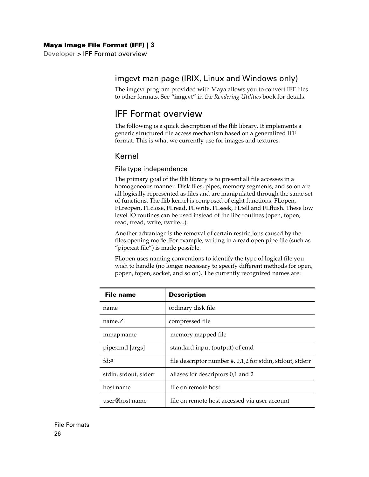Developer > IFF Format overview

#### <span id="page-25-0"></span>imgcvt man page (IRIX, Linux and Windows only)

The imgcvt program provided with Maya allows you to convert IFF files to other formats. See **"imgcvt"** in the *Rendering Utilities* book for details.

## <span id="page-25-1"></span>IFF Format overview

<span id="page-25-5"></span>The following is a quick description of the flib library. It implements a generic structured file access mechanism based on a generalized IFF format. This is what we currently use for images and textures.

#### <span id="page-25-2"></span>Kernel

#### <span id="page-25-3"></span>File type independence

The primary goal of the flib library is to present all file accesses in a homogeneous manner. Disk files, pipes, memory segments, and so on are all logically represented as files and are manipulated through the same set of functions. The flib kernel is composed of eight functions: FLopen, FLreopen, FLclose, FLread, FLwrite, FLseek, FLtell and FLflush. These low level IO routines can be used instead of the libc routines (open, fopen, read, fread, write, fwrite...).

Another advantage is the removal of certain restrictions caused by the files opening mode. For example, writing in a read open pipe file (such as "pipe:cat file") is made possible.

<span id="page-25-4"></span>FLopen uses naming conventions to identify the type of logical file you wish to handle (no longer necessary to specify different methods for open, popen, fopen, socket, and so on). The currently recognized names are:

| File name             | <b>Description</b>                                            |
|-----------------------|---------------------------------------------------------------|
| name                  | ordinary disk file                                            |
| name.Z                | compressed file                                               |
| mmap:name             | memory mapped file                                            |
| pipe:cmd [args]       | standard input (output) of cmd                                |
| fd:#                  | file descriptor number $\#$ , 0,1,2 for stdin, stdout, stderr |
| stdin, stdout, stderr | aliases for descriptors 0,1 and 2                             |
| host:name             | file on remote host                                           |
| user@host:name        | file on remote host accessed via user account                 |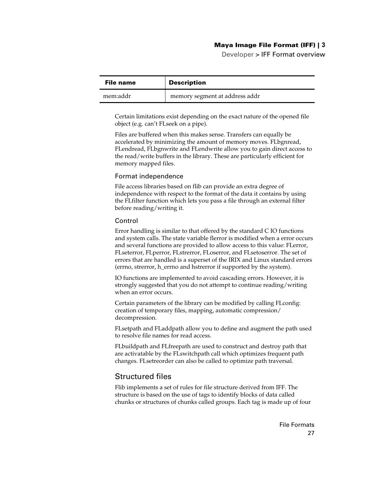<span id="page-26-3"></span>Developer > IFF Format overview

| File name | <b>Description</b>             |
|-----------|--------------------------------|
| mem:addr  | memory segment at address addr |

Certain limitations exist depending on the exact nature of the opened file object (e.g. can't FLseek on a pipe).

<span id="page-26-8"></span><span id="page-26-7"></span><span id="page-26-4"></span>Files are buffered when this makes sense. Transfers can equally be accelerated by minimizing the amount of memory moves. FLbgnread, FLendread, FLbgnwrite and FLendwrite allow you to gain direct access to the read/write buffers in the library. These are particularly efficient for memory mapped files.

#### Format independence

<span id="page-26-10"></span>File access libraries based on flib can provide an extra degree of independence with respect to the format of the data it contains by using the FLfilter function which lets you pass a file through an external filter before reading/writing it.

#### Control

<span id="page-26-18"></span><span id="page-26-15"></span><span id="page-26-14"></span><span id="page-26-13"></span><span id="page-26-12"></span><span id="page-26-9"></span>Error handling is similar to that offered by the standard C IO functions and system calls. The state variable flerror is modified when a error occurs and several functions are provided to allow access to this value: FLerror, FLseterror, FLperror, FLstrerror, FLoserror, and FLsetoserror. The set of errors that are handled is a superset of the IRIX and Linux standard errors (errno, strerror, h\_errno and hstrerror if supported by the system).

IO functions are implemented to avoid cascading errors. However, it is strongly suggested that you do not attempt to continue reading/writing when an error occurs.

<span id="page-26-6"></span>Certain parameters of the library can be modified by calling FLconfig: creation of temporary files, mapping, automatic compression/ decompression.

<span id="page-26-16"></span><span id="page-26-2"></span>FLsetpath and FLaddpath allow you to define and augment the path used to resolve file names for read access.

<span id="page-26-19"></span><span id="page-26-17"></span><span id="page-26-11"></span><span id="page-26-5"></span>FLbuildpath and FLfreepath are used to construct and destroy path that are activatable by the FLswitchpath call which optimizes frequent path changes. FLsetreorder can also be called to optimize path traversal.

#### <span id="page-26-0"></span>Structured files

<span id="page-26-1"></span>Flib implements a set of rules for file structure derived from IFF. The structure is based on the use of tags to identify blocks of data called chunks or structures of chunks called groups. Each tag is made up of four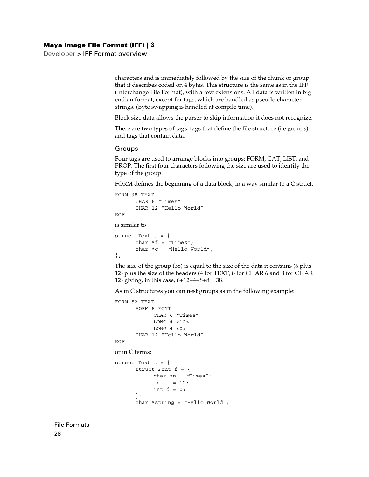Developer > IFF Format overview

characters and is immediately followed by the size of the chunk or group that it describes coded on 4 bytes. This structure is the same as in the IFF (Interchange File Format), with a few extensions. All data is written in big endian format, except for tags, which are handled as pseudo character strings. (Byte swapping is handled at compile time).

Block size data allows the parser to skip information it does not recognize.

There are two types of tags: tags that define the file structure (i.e groups) and tags that contain data.

#### Groups

<span id="page-27-4"></span><span id="page-27-3"></span><span id="page-27-2"></span><span id="page-27-1"></span><span id="page-27-0"></span>Four tags are used to arrange blocks into groups: FORM, CAT, LIST, and PROP. The first four characters following the size are used to identify the type of the group.

FORM defines the beginning of a data block, in a way similar to a C struct.

```
FORM 38 TEXT
      CHAR 6 "Times"
      CHAR 12 "Hello World"
EOF
```
is similar to

struct Text  $t = \{$ char  $*f = "Times"$ ; char \*c = "Hello World"; };

The size of the group (38) is equal to the size of the data it contains (6 plus 12) plus the size of the headers (4 for TEXT, 8 for CHAR 6 and 8 for CHAR 12) giving, in this case,  $6+12+4+8+8=38$ .

As in C structures you can nest groups as in the following example:

```
FORM 52 TEXT
      FORM 8 FONT
           CHAR 6 "Times"
           LONG 4 <12>
           LONG 4 < 0 >CHAR 12 "Hello World"
EOF
or in C terms:
struct Text t = \{struct Font f = \{char *n = "Times";
           int s = 12;int d = 0:
      };
      char *string = "Hello World";
```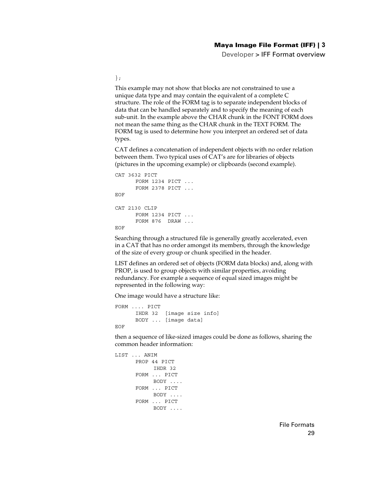Developer > IFF Format overview

};

This example may not show that blocks are not constrained to use a unique data type and may contain the equivalent of a complete C structure. The role of the FORM tag is to separate independent blocks of data that can be handled separately and to specify the meaning of each sub-unit. In the example above the CHAR chunk in the FONT FORM does not mean the same thing as the CHAR chunk in the TEXT FORM. The FORM tag is used to determine how you interpret an ordered set of data types.

CAT defines a concatenation of independent objects with no order relation between them. Two typical uses of CAT's are for libraries of objects (pictures in the upcoming example) or clipboards (second example).

```
CAT 3632 PICT
      FORM 1234 PICT ...
      FORM 2378 PICT ...
EOF
CAT 2130 CLIP
     FORM 1234 PICT ...
      FORM 876 DRAW ...
EOF
```
Searching through a structured file is generally greatly accelerated, even in a CAT that has no order amongst its members, through the knowledge of the size of every group or chunk specified in the header.

LIST defines an ordered set of objects (FORM data blocks) and, along with PROP, is used to group objects with similar properties, avoiding redundancy. For example a sequence of equal sized images might be represented in the following way:

One image would have a structure like:

```
FORM .... PICT
     IHDR 32 [image size info]
     BODY ... [image data]
```
EOF

then a sequence of like-sized images could be done as follows, sharing the common header information:

```
LIST ... ANIM
      PROP 44 PICT
           IHDR 32 
      FORM ... PICT
           BODY .... 
      FORM ... PICT
           BODY .... 
      FORM ... PICT
           BODY ....
```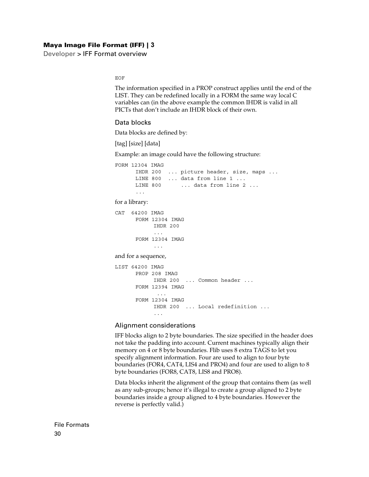Developer > IFF Format overview

EOF

The information specified in a PROP construct applies until the end of the LIST. They can be redefined locally in a FORM the same way local C variables can (in the above example the common IHDR is valid in all PICTs that don't include an IHDR block of their own.

#### <span id="page-29-1"></span>Data blocks

Data blocks are defined by:

[tag] [size] [data]

Example: an image could have the following structure:

FORM 12304 IMAG IHDR 200 ... picture header, size, maps ... LINE 800 ... data from line 1 ... LINE 800 ... data from line 2 ... ... for a library: CAT 64200 IMAG FORM 12304 IMAG IHDR 200 ... FORM 12304 IMAG ... and for a sequence, LIST 64200 IMAG PROP 208 IMAG IHDR 200 ... Common header ... FORM 12394 IMAG ... FORM 12304 IMAG IHDR 200 ... Local redefinition ... ...

#### Alignment considerations

<span id="page-29-0"></span>IFF blocks align to 2 byte boundaries. The size specified in the header does not take the padding into account. Current machines typically align their memory on 4 or 8 byte boundaries. Flib uses 8 extra TAGS to let you specify alignment information. Four are used to align to four byte boundaries (FOR4, CAT4, LIS4 and PRO4) and four are used to align to 8 byte boundaries (FOR8, CAT8, LIS8 and PRO8).

Data blocks inherit the alignment of the group that contains them (as well as any sub-groups; hence it's illegal to create a group aligned to 2 byte boundaries inside a group aligned to 4 byte boundaries. However the reverse is perfectly valid.)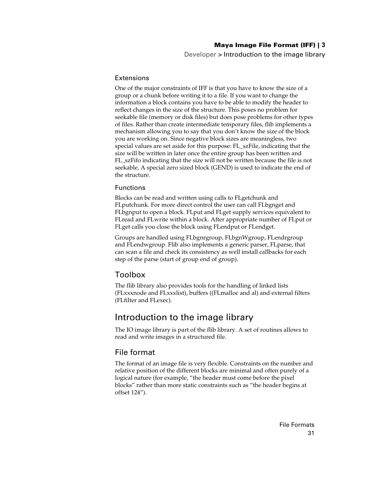<span id="page-30-5"></span>Developer > Introduction to the image library

#### Extensions

<span id="page-30-3"></span>One of the major constraints of IFF is that you have to know the size of a group or a chunk before writing it to a file. If you want to change the information a block contains you have to be able to modify the header to reflect changes in the size of the structure. This poses no problem for seekable file (memory or disk files) but does pose problems for other types of files. Rather than create intermediate temporary files, flib implements a mechanism allowing you to say that you don't know the size of the block you are working on. Since negative block sizes are meaningless, two special values are set aside for this purpose: FL\_szFile, indicating that the size will be written in later once the entire group has been written and FL szFifo indicating that the size will not be written because the file is not seekable, A special zero sized block (GEND) is used to indicate the end of the structure.

#### <span id="page-30-4"></span>Functions

<span id="page-30-22"></span><span id="page-30-21"></span><span id="page-30-20"></span><span id="page-30-19"></span><span id="page-30-18"></span><span id="page-30-15"></span><span id="page-30-14"></span><span id="page-30-7"></span><span id="page-30-6"></span>Blocks can be read and written using calls to FLgetchunk and FLputchunk. For more direct control the user can call FLbgnget and FLbgnput to open a block. FLput and FLget supply services equivalent to FLread and FLwrite within a block. After appropriate number of FLput or FLget calls you close the block using FLendput or FLendget.

<span id="page-30-17"></span><span id="page-30-13"></span><span id="page-30-12"></span><span id="page-30-11"></span><span id="page-30-10"></span><span id="page-30-9"></span><span id="page-30-8"></span>Groups are handled using FLbgnrgroup, FLbgnWgroup, FLendrgroup and FLendwgroup. Flib also implements a generic parser, FLparse, that can scan a file and check its consistency as well install callbacks for each step of the parse (start of group end of group).

#### <span id="page-30-0"></span>Toolbox

<span id="page-30-16"></span>The flib library also provides tools for the handling of linked lists (FLxxxnode and FLxxxlist), buffers ((FLmalloc and al) and external filters (FLfilter and FLexec).

## <span id="page-30-1"></span>Introduction to the image library

<span id="page-30-24"></span>The IO image library is part of the flib library. A set of routines allows to read and write images in a structured file.

#### <span id="page-30-2"></span>File format

<span id="page-30-23"></span>The format of an image file is very flexible. Constraints on the number and relative position of the different blocks are minimal and often purely of a logical nature (for example, "the header must come before the pixel blocks" rather than more static constraints such as "the header begins at offset 124").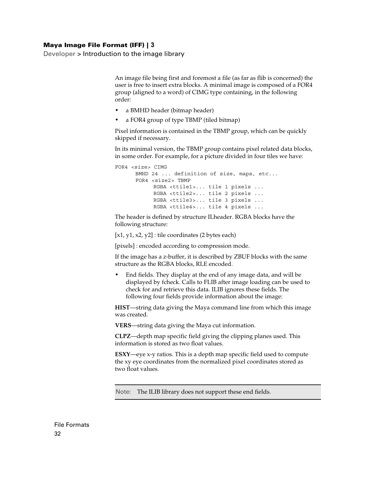Developer > Introduction to the image library

An image file being first and foremost a file (as far as flib is concerned) the user is free to insert extra blocks. A minimal image is composed of a FOR4 group (aligned to a word) of CIMG type containing, in the following order:

- **•** a BMHD header (bitmap header)
- **•** a FOR4 group of type TBMP (tiled bitmap)

Pixel information is contained in the TBMP group, which can be quickly skipped if necessary.

In its minimal version, the TBMP group contains pixel related data blocks, in some order. For example, for a picture divided in four tiles we have:

```
FOR4 <size> CIMG
      BMHD 24 ... definition of size, maps, etc...
      FOR4 <size2> TBMP
           RGBA <ttile1>... tile 1 pixels ...
           RGBA <ttile2>... tile 2 pixels ...
           RGBA <ttile3>... tile 3 pixels ...
           RGBA <ttile4>... tile 4 pixels ...
```
The header is defined by structure ILheader. RGBA blocks have the following structure:

 $[x1, y1, x2, y2]$ : tile coordinates (2 bytes each)

[pixels] : encoded according to compression mode.

If the image has a z-buffer, it is described by ZBUF blocks with the same structure as the RGBA blocks, RLE encoded.

**•** End fields. They display at the end of any image data, and will be displayed by fcheck. Calls to FLIB after image loading can be used to check for and retrieve this data. ILIB ignores these fields. The following four fields provide information about the image:

**HIST**—string data giving the Maya command line from which this image was created.

**VERS**—string data giving the Maya cut information.

**CLPZ**—depth map specific field giving the clipping planes used. This information is stored as two float values.

**ESXY**—eye x-y ratios. This is a depth map specific field used to compute the xy eye coordinates from the normalized pixel coordinates stored as two float values.

Note: The ILIB library does not support these end fields.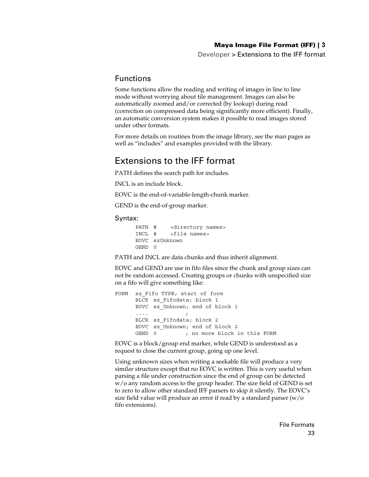Developer > Extensions to the IFF format

#### <span id="page-32-0"></span>Functions

<span id="page-32-6"></span>Some functions allow the reading and writing of images in line to line mode without worrying about tile management. Images can also be automatically zoomed and/or corrected (by lookup) during read (correction on compressed data being significantly more efficient). Finally, an automatic conversion system makes it possible to read images stored under other formats.

For more details on routines from the image library, see the man pages as well as "includes" and examples provided with the library.

## <span id="page-32-1"></span>Extensions to the IFF format

<span id="page-32-5"></span>PATH defines the search path for includes.

<span id="page-32-4"></span>INCL is an include block.

<span id="page-32-2"></span>EOVC is the end-of-variable-length-chunk marker.

<span id="page-32-3"></span>GEND is the end-of-group marker.

#### Syntax:

PATH # <directory names> INCL # <file names> EOVC szUnknown GEND 0

PATH and INCL are data chunks and thus inherit alignment.

EOVC and GEND are use in fifo files since the chunk and group sizes can not be random accessed. Creating groups or chunks with unspecified size on a fifo will give something like:

```
FORM sz_Fifo TYPE; start of form
      BLCK sz_Fifodata; block 1
     EOVC sz_Unknown; end of block 1
      .... ;
     BLCK sz_Fifodata; block 2
     EOVC sz_Unknown; end of block 2
      GEND 0 ; no more block in this FORM
```
EOVC is a block/group end marker, while GEND is understood as a request to close the current group, going up one level.

Using unknown sizes when writing a seekable file will produce a very similar structure except that no EOVC is written. This is very useful when parsing a file under construction since the end of group can be detected w/o any random access to the group header. The size field of GEND is set to zero to allow other standard IFF parsers to skip it silently. The EOVC's size field value will produce an error if read by a standard parser (w/o fifo extensions).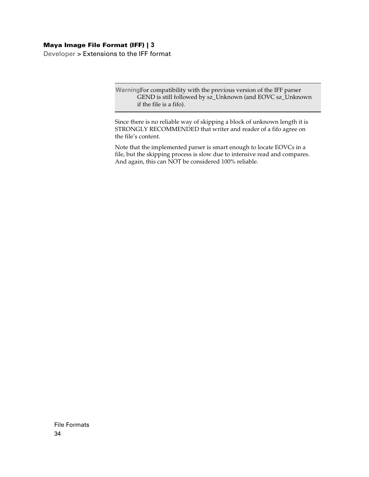Developer > Extensions to the IFF format

WarningFor compatibility with the previous version of the IFF parser GEND is still followed by sz\_Unknown (and EOVC sz\_Unknown if the file is a fifo).

Since there is no reliable way of skipping a block of unknown length it is STRONGLY RECOMMENDED that writer and reader of a fifo agree on the file's content.

Note that the implemented parser is smart enough to locate EOVCs in a file, but the skipping process is slow due to intensive read and compares. And again, this can NOT be considered 100% reliable.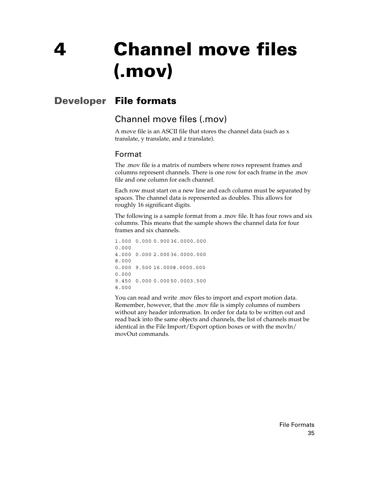# <span id="page-34-0"></span>**4 Channel move files (.mov)**

# <span id="page-34-1"></span>**Developer File formats**

## <span id="page-34-3"></span><span id="page-34-2"></span>Channel move files (.mov)

<span id="page-34-5"></span>A move file is an ASCII file that stores the channel data (such as x translate, y translate, and z translate).

## <span id="page-34-4"></span>Format

The .mov file is a matrix of numbers where rows represent frames and columns represent channels. There is one row for each frame in the .mov file and one column for each channel.

Each row must start on a new line and each column must be separated by spaces. The channel data is represented as doubles. This allows for roughly 16 significant digits.

The following is a sample format from a .mov file. It has four rows and six columns. This means that the sample shows the channel data for four frames and six channels.

```
1.000 0.000 0.900 36.0000.000
0.000
4.000 0.000 2.000 36.0000.000
8.000
0.000 9.500 16.0008.0000.000
0.000
9.450 0.000 0.000 50.0003.500
8.000
```
You can read and write .mov files to import and export motion data. Remember, however, that the .mov file is simply columns of numbers without any header information. In order for data to be written out and read back into the same objects and channels, the list of channels must be identical in the File Import/Export option boxes or with the movIn/ movOut commands.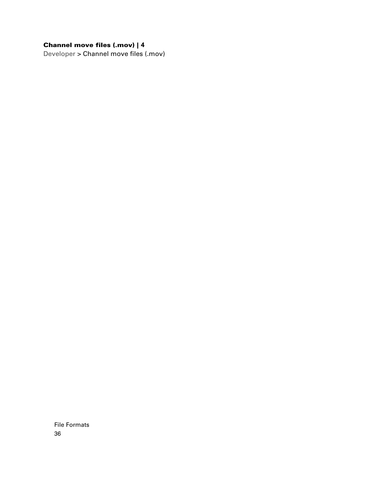## **Channel move files (.mov) |** 4

Developer > Channel move files (.mov)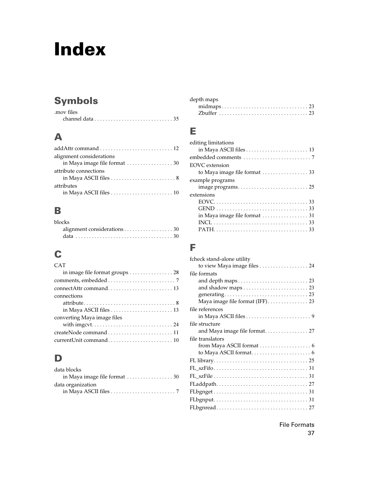# **Symbols**

| mov files.                                                                |  |  |  |  |  |
|---------------------------------------------------------------------------|--|--|--|--|--|
| channel data $\ldots \ldots \ldots \ldots \ldots \ldots \ldots \ldots 35$ |  |  |  |  |  |

## **A**

| alignment considerations      |  |
|-------------------------------|--|
| in Maya image file format  30 |  |
| attribute connections         |  |
|                               |  |
| attributes                    |  |
|                               |  |

# **B**

| blocks                      |  |
|-----------------------------|--|
| alignment considerations 30 |  |
|                             |  |

# **C**

| <b>CAT</b>                     |
|--------------------------------|
| in image file format groups 28 |
|                                |
|                                |
| connections                    |
| converting Maya image files    |
|                                |
|                                |

## **D**

| data blocks                                                                   |  |
|-------------------------------------------------------------------------------|--|
|                                                                               |  |
| data organization                                                             |  |
| in Maya ASCII files $\ldots \ldots \ldots \ldots \ldots \ldots \ldots \ldots$ |  |

| depth maps                                                                         |  |  |  |
|------------------------------------------------------------------------------------|--|--|--|
| $midmaps \ldots \ldots \ldots \ldots \ldots \ldots \ldots \ldots \ldots \ldots 23$ |  |  |  |
|                                                                                    |  |  |  |

# **E**

| editing limitations                                               |
|-------------------------------------------------------------------|
|                                                                   |
| EOVC extension                                                    |
| to Maya image file format $\ldots \ldots \ldots \ldots \ldots$ 33 |
| example programs                                                  |
|                                                                   |
| extensions                                                        |
|                                                                   |
|                                                                   |
| in Maya image file format 31                                      |
|                                                                   |
|                                                                   |

## **F**

| fcheck stand-alone utility    |
|-------------------------------|
| to view Maya image files 24   |
| file formats                  |
|                               |
|                               |
|                               |
|                               |
| file references               |
|                               |
| file structure                |
| and Maya image file format 27 |
| file translators              |
|                               |
|                               |
|                               |
|                               |
|                               |
|                               |
|                               |
|                               |
|                               |
|                               |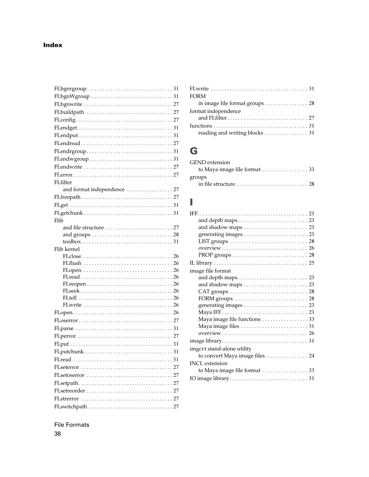| FLfilter                    |
|-----------------------------|
| and format independence  27 |
|                             |
|                             |
|                             |
| Flib                        |
|                             |
|                             |
|                             |
| Flib kernel                 |
|                             |
|                             |
|                             |
|                             |
|                             |
|                             |
|                             |
|                             |
|                             |
|                             |
|                             |
|                             |
|                             |
|                             |
| FLseterror<br>27            |
|                             |
|                             |
|                             |
|                             |
|                             |

| <b>FORM</b>                    |
|--------------------------------|
| in image file format groups 28 |
| format independence            |
|                                |
|                                |
|                                |
|                                |

## **G**

| <b>GEND</b> extension |  |
|-----------------------|--|
|                       |  |
| groups                |  |
|                       |  |

## **I**

| image file format              |
|--------------------------------|
|                                |
|                                |
|                                |
|                                |
|                                |
|                                |
| Maya image file functions  33  |
|                                |
|                                |
|                                |
| imgcvt stand-alone utility     |
| to convert Maya image files 24 |
| <b>INCL</b> extension          |
| to Maya image file format  33  |
|                                |
|                                |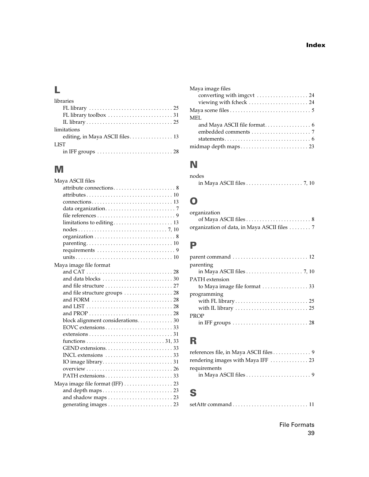# **L**

| libraries                                                                      |
|--------------------------------------------------------------------------------|
|                                                                                |
|                                                                                |
|                                                                                |
| limitations                                                                    |
| editing, in Maya ASCII files 13                                                |
| <b>LIST</b>                                                                    |
| in IFF groups $\dots \dots \dots \dots \dots \dots \dots \dots \dots \dots 28$ |

# **M**

| Maya ASCII files                                                               |
|--------------------------------------------------------------------------------|
|                                                                                |
|                                                                                |
|                                                                                |
|                                                                                |
|                                                                                |
| limitations to editing 13                                                      |
|                                                                                |
|                                                                                |
|                                                                                |
|                                                                                |
|                                                                                |
| Maya image file format                                                         |
|                                                                                |
|                                                                                |
|                                                                                |
| and file structure groups  28                                                  |
|                                                                                |
|                                                                                |
|                                                                                |
| block alignment considerations. 30                                             |
|                                                                                |
| $extensions \ldots \ldots \ldots \ldots \ldots \ldots \ldots \ldots \ldots 31$ |
|                                                                                |
|                                                                                |
|                                                                                |
|                                                                                |
|                                                                                |
|                                                                                |
|                                                                                |
|                                                                                |
| and shadow maps $\ldots \ldots \ldots \ldots \ldots \ldots \ldots 23$          |
|                                                                                |

| Maya image files           |
|----------------------------|
| converting with imgcvt  24 |
| viewing with fcheck  24    |
|                            |
| MEI.                       |
|                            |
|                            |
|                            |
|                            |

# **N**

| nodes                                                                        |  |
|------------------------------------------------------------------------------|--|
| in Maya ASCII files $\ldots \ldots \ldots \ldots \ldots \ldots \ldots$ 7, 10 |  |

# **O**

| organization                                 |  |
|----------------------------------------------|--|
|                                              |  |
| organization of data, in Maya ASCII files  7 |  |

## **P**

| parenting             |
|-----------------------|
| <b>PATH</b> extension |
| programming           |
| <b>PROP</b>           |

## **R**

| references file, in Maya ASCII files 9                      |  |
|-------------------------------------------------------------|--|
| rendering images with Maya IFF $\dots \dots \dots \dots$ 23 |  |
| requirements                                                |  |
|                                                             |  |
|                                                             |  |

# **S**

|--|--|